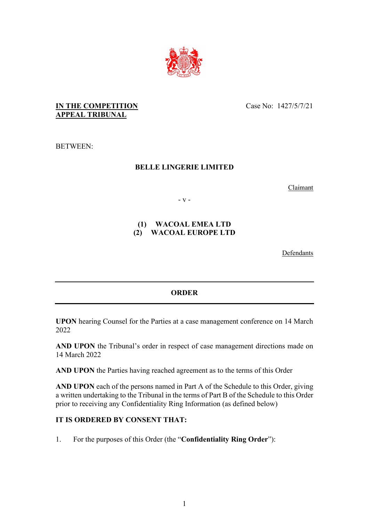

### **IN THE COMPETITION APPEAL TRIBUNAL**

Case No: 1427/5/7/21

BETWEEN:

# **BELLE LINGERIE LIMITED**

Claimant

- v -

### **(1) WACOAL EMEA LTD (2) WACOAL EUROPE LTD**

Defendants

# **ORDER**

**UPON** hearing Counsel for the Parties at a case management conference on 14 March 2022

**AND UPON** the Tribunal's order in respect of case management directions made on 14 March 2022

**AND UPON** the Parties having reached agreement as to the terms of this Order

**AND UPON** each of the persons named in Part A of the Schedule to this Order, giving a written undertaking to the Tribunal in the terms of Part B of the Schedule to this Order prior to receiving any Confidentiality Ring Information (as defined below)

# **IT IS ORDERED BY CONSENT THAT:**

1. For the purposes of this Order (the "**Confidentiality Ring Order**"):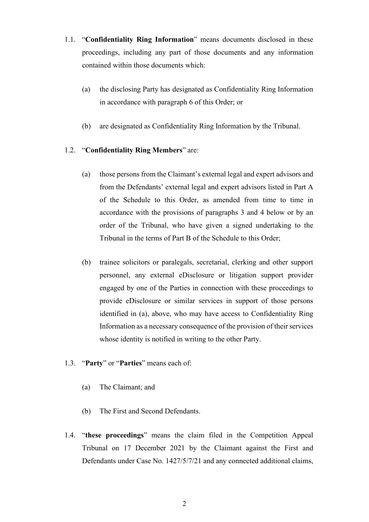- 1.1. "**Confidentiality Ring Information**" means documents disclosed in these proceedings, including any part of those documents and any information contained within those documents which:
	- (a) the disclosing Party has designated as Confidentiality Ring Information in accordance with paragraph 6 of this Order; or
	- (b) are designated as Confidentiality Ring Information by the Tribunal.

### 1.2. "**Confidentiality Ring Members**" are:

- (a) those persons from the Claimant's external legal and expert advisors and from the Defendants' external legal and expert advisors listed in Part A of the Schedule to this Order, as amended from time to time in accordance with the provisions of paragraphs 3 and 4 below or by an order of the Tribunal, who have given a signed undertaking to the Tribunal in the terms of Part B of the Schedule to this Order;
- (b) trainee solicitors or paralegals, secretarial, clerking and other support personnel, any external eDisclosure or litigation support provider engaged by one of the Parties in connection with these proceedings to provide eDisclosure or similar services in support of those persons identified in (a), above, who may have access to Confidentiality Ring Information as a necessary consequence of the provision of their services whose identity is notified in writing to the other Party.
- 1.3. "**Party**" or "**Parties**" means each of:
	- (a) The Claimant; and
	- (b) The First and Second Defendants.
- 1.4. "**these proceedings**" means the claim filed in the Competition Appeal Tribunal on 17 December 2021 by the Claimant against the First and Defendants under Case No. 1427/5/7/21 and any connected additional claims,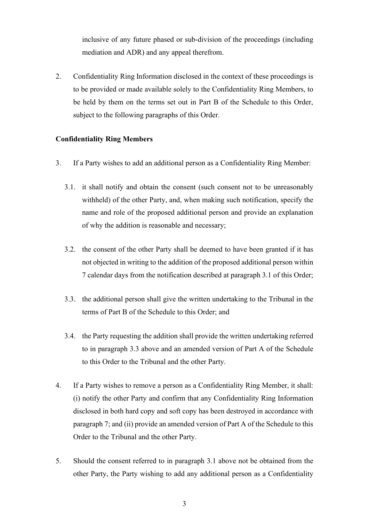inclusive of any future phased or sub-division of the proceedings (including mediation and ADR) and any appeal therefrom.

2. Confidentiality Ring Information disclosed in the context of these proceedings is to be provided or made available solely to the Confidentiality Ring Members, to be held by them on the terms set out in Part B of the Schedule to this Order, subject to the following paragraphs of this Order.

### **Confidentiality Ring Members**

- 3. If a Party wishes to add an additional person as a Confidentiality Ring Member:
	- 3.1. it shall notify and obtain the consent (such consent not to be unreasonably withheld) of the other Party, and, when making such notification, specify the name and role of the proposed additional person and provide an explanation of why the addition is reasonable and necessary;
	- 3.2. the consent of the other Party shall be deemed to have been granted if it has not objected in writing to the addition of the proposed additional person within 7 calendar days from the notification described at paragraph 3.1 of this Order;
	- 3.3. the additional person shall give the written undertaking to the Tribunal in the terms of Part B of the Schedule to this Order; and
	- 3.4. the Party requesting the addition shall provide the written undertaking referred to in paragraph 3.3 above and an amended version of Part A of the Schedule to this Order to the Tribunal and the other Party.
- 4. If a Party wishes to remove a person as a Confidentiality Ring Member, it shall: (i) notify the other Party and confirm that any Confidentiality Ring Information disclosed in both hard copy and soft copy has been destroyed in accordance with paragraph 7; and (ii) provide an amended version of Part A of the Schedule to this Order to the Tribunal and the other Party.
- 5. Should the consent referred to in paragraph 3.1 above not be obtained from the other Party, the Party wishing to add any additional person as a Confidentiality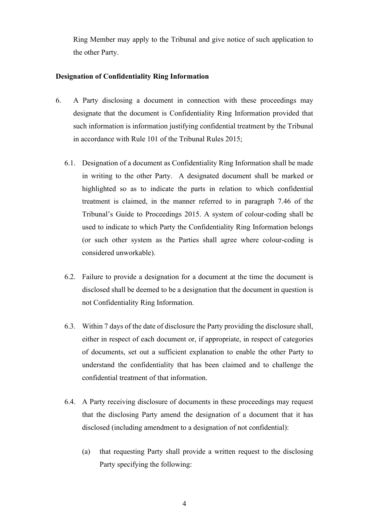Ring Member may apply to the Tribunal and give notice of such application to the other Party.

#### **Designation of Confidentiality Ring Information**

- 6. A Party disclosing a document in connection with these proceedings may designate that the document is Confidentiality Ring Information provided that such information is information justifying confidential treatment by the Tribunal in accordance with Rule 101 of the Tribunal Rules 2015;
	- 6.1. Designation of a document as Confidentiality Ring Information shall be made in writing to the other Party. A designated document shall be marked or highlighted so as to indicate the parts in relation to which confidential treatment is claimed, in the manner referred to in paragraph 7.46 of the Tribunal's Guide to Proceedings 2015. A system of colour-coding shall be used to indicate to which Party the Confidentiality Ring Information belongs (or such other system as the Parties shall agree where colour-coding is considered unworkable).
	- 6.2. Failure to provide a designation for a document at the time the document is disclosed shall be deemed to be a designation that the document in question is not Confidentiality Ring Information.
	- 6.3. Within 7 days of the date of disclosure the Party providing the disclosure shall, either in respect of each document or, if appropriate, in respect of categories of documents, set out a sufficient explanation to enable the other Party to understand the confidentiality that has been claimed and to challenge the confidential treatment of that information.
	- 6.4. A Party receiving disclosure of documents in these proceedings may request that the disclosing Party amend the designation of a document that it has disclosed (including amendment to a designation of not confidential):
		- (a) that requesting Party shall provide a written request to the disclosing Party specifying the following: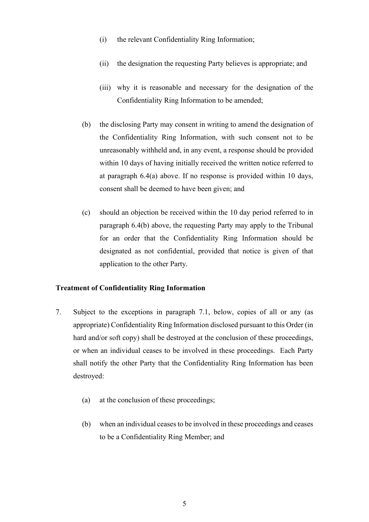- (i) the relevant Confidentiality Ring Information;
- (ii) the designation the requesting Party believes is appropriate; and
- (iii) why it is reasonable and necessary for the designation of the Confidentiality Ring Information to be amended;
- (b) the disclosing Party may consent in writing to amend the designation of the Confidentiality Ring Information, with such consent not to be unreasonably withheld and, in any event, a response should be provided within 10 days of having initially received the written notice referred to at paragraph 6.4(a) above. If no response is provided within 10 days, consent shall be deemed to have been given; and
- (c) should an objection be received within the 10 day period referred to in paragraph 6.4(b) above, the requesting Party may apply to the Tribunal for an order that the Confidentiality Ring Information should be designated as not confidential, provided that notice is given of that application to the other Party.

#### **Treatment of Confidentiality Ring Information**

- 7. Subject to the exceptions in paragraph 7.1, below, copies of all or any (as appropriate) Confidentiality Ring Information disclosed pursuant to this Order (in hard and/or soft copy) shall be destroyed at the conclusion of these proceedings, or when an individual ceases to be involved in these proceedings. Each Party shall notify the other Party that the Confidentiality Ring Information has been destroyed:
	- (a) at the conclusion of these proceedings;
	- (b) when an individual ceases to be involved in these proceedings and ceases to be a Confidentiality Ring Member; and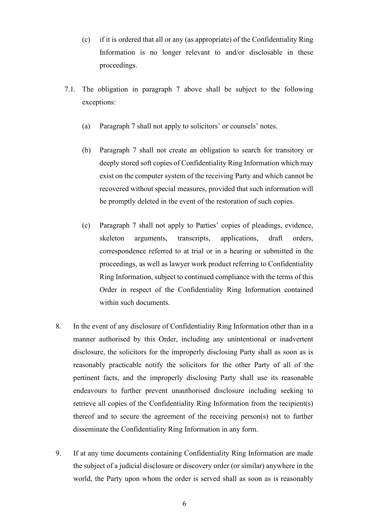- (c) if it is ordered that all or any (as appropriate) of the Confidentiality Ring Information is no longer relevant to and/or disclosable in these proceedings.
- 7.1. The obligation in paragraph 7 above shall be subject to the following exceptions:
	- (a) Paragraph 7 shall not apply to solicitors' or counsels' notes.
	- (b) Paragraph 7 shall not create an obligation to search for transitory or deeply stored soft copies of Confidentiality Ring Information which may exist on the computer system of the receiving Party and which cannot be recovered without special measures, provided that such information will be promptly deleted in the event of the restoration of such copies.
	- (c) Paragraph 7 shall not apply to Parties' copies of pleadings, evidence, skeleton arguments, transcripts, applications, draft orders, correspondence referred to at trial or in a hearing or submitted in the proceedings, as well as lawyer work product referring to Confidentiality Ring Information, subject to continued compliance with the terms of this Order in respect of the Confidentiality Ring Information contained within such documents.
- 8. In the event of any disclosure of Confidentiality Ring Information other than in a manner authorised by this Order, including any unintentional or inadvertent disclosure, the solicitors for the improperly disclosing Party shall as soon as is reasonably practicable notify the solicitors for the other Party of all of the pertinent facts, and the improperly disclosing Party shall use its reasonable endeavours to further prevent unauthorised disclosure including seeking to retrieve all copies of the Confidentiality Ring Information from the recipient(s) thereof and to secure the agreement of the receiving person(s) not to further disseminate the Confidentiality Ring Information in any form.
- 9. If at any time documents containing Confidentiality Ring Information are made the subject of a judicial disclosure or discovery order (or similar) anywhere in the world, the Party upon whom the order is served shall as soon as is reasonably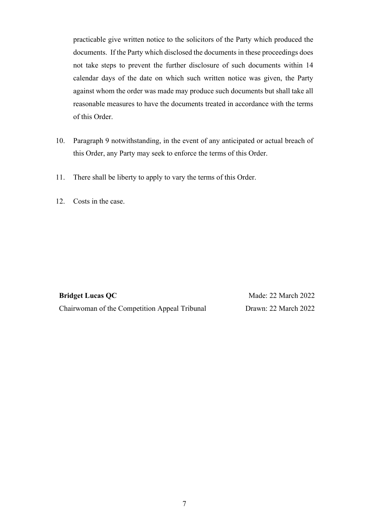practicable give written notice to the solicitors of the Party which produced the documents. If the Party which disclosed the documents in these proceedings does not take steps to prevent the further disclosure of such documents within 14 calendar days of the date on which such written notice was given, the Party against whom the order was made may produce such documents but shall take all reasonable measures to have the documents treated in accordance with the terms of this Order.

- 10. Paragraph 9 notwithstanding, in the event of any anticipated or actual breach of this Order, any Party may seek to enforce the terms of this Order.
- 11. There shall be liberty to apply to vary the terms of this Order.
- 12. Costs in the case.

**Bridget Lucas QC** Chairwoman of the Competition Appeal Tribunal

Made: 22 March 2022 Drawn: 22 March 2022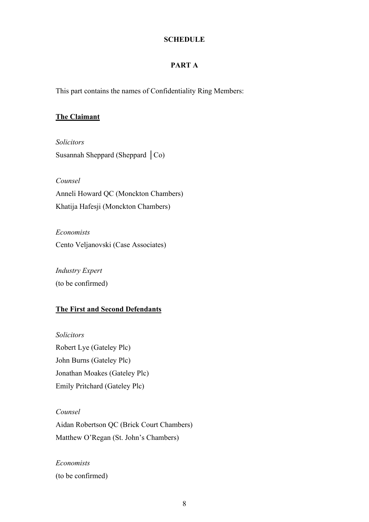#### **SCHEDULE**

# **PART A**

This part contains the names of Confidentiality Ring Members:

# **The Claimant**

*Solicitors* Susannah Sheppard (Sheppard │Co)

*Counsel*  Anneli Howard QC (Monckton Chambers) Khatija Hafesji (Monckton Chambers)

*Economists*  Cento Veljanovski (Case Associates)

*Industry Expert* (to be confirmed)

### **The First and Second Defendants**

*Solicitors*  Robert Lye (Gateley Plc) John Burns (Gateley Plc) Jonathan Moakes (Gateley Plc) Emily Pritchard (Gateley Plc)

*Counsel*  Aidan Robertson QC (Brick Court Chambers) Matthew O'Regan (St. John's Chambers)

*Economists*  (to be confirmed)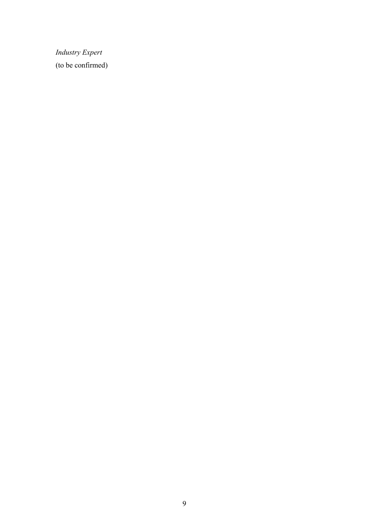*Industry Expert* (to be confirmed)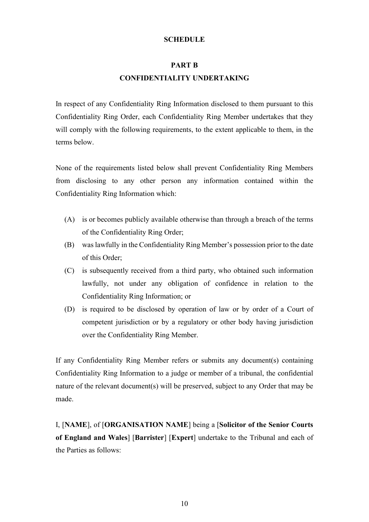#### **SCHEDULE**

# **PART B CONFIDENTIALITY UNDERTAKING**

In respect of any Confidentiality Ring Information disclosed to them pursuant to this Confidentiality Ring Order, each Confidentiality Ring Member undertakes that they will comply with the following requirements, to the extent applicable to them, in the terms below.

None of the requirements listed below shall prevent Confidentiality Ring Members from disclosing to any other person any information contained within the Confidentiality Ring Information which:

- (A) is or becomes publicly available otherwise than through a breach of the terms of the Confidentiality Ring Order;
- (B) was lawfully in the Confidentiality Ring Member's possession prior to the date of this Order;
- (C) is subsequently received from a third party, who obtained such information lawfully, not under any obligation of confidence in relation to the Confidentiality Ring Information; or
- (D) is required to be disclosed by operation of law or by order of a Court of competent jurisdiction or by a regulatory or other body having jurisdiction over the Confidentiality Ring Member.

If any Confidentiality Ring Member refers or submits any document(s) containing Confidentiality Ring Information to a judge or member of a tribunal, the confidential nature of the relevant document(s) will be preserved, subject to any Order that may be made.

I, [**NAME**], of [**ORGANISATION NAME**] being a [**Solicitor of the Senior Courts of England and Wales**] [**Barrister**] [**Expert**] undertake to the Tribunal and each of the Parties as follows: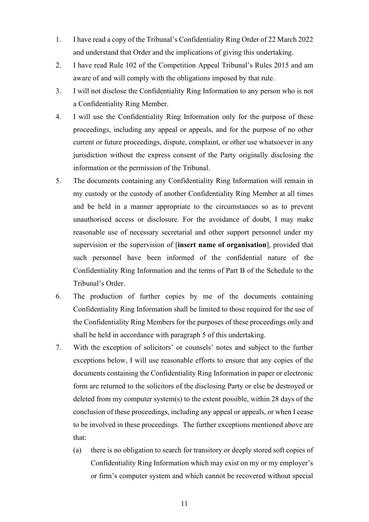- 1. I have read a copy of the Tribunal's Confidentiality Ring Order of 22 March 2022 and understand that Order and the implications of giving this undertaking.
- 2. I have read Rule 102 of the Competition Appeal Tribunal's Rules 2015 and am aware of and will comply with the obligations imposed by that rule.
- 3. I will not disclose the Confidentiality Ring Information to any person who is not a Confidentiality Ring Member.
- 4. I will use the Confidentiality Ring Information only for the purpose of these proceedings, including any appeal or appeals, and for the purpose of no other current or future proceedings, dispute, complaint, or other use whatsoever in any jurisdiction without the express consent of the Party originally disclosing the information or the permission of the Tribunal.
- 5. The documents containing any Confidentiality Ring Information will remain in my custody or the custody of another Confidentiality Ring Member at all times and be held in a manner appropriate to the circumstances so as to prevent unauthorised access or disclosure. For the avoidance of doubt, I may make reasonable use of necessary secretarial and other support personnel under my supervision or the supervision of [**insert name of organisation**], provided that such personnel have been informed of the confidential nature of the Confidentiality Ring Information and the terms of Part B of the Schedule to the Tribunal's Order.
- 6. The production of further copies by me of the documents containing Confidentiality Ring Information shall be limited to those required for the use of the Confidentiality Ring Members for the purposes of these proceedings only and shall be held in accordance with paragraph 5 of this undertaking.
- 7. With the exception of solicitors' or counsels' notes and subject to the further exceptions below, I will use reasonable efforts to ensure that any copies of the documents containing the Confidentiality Ring Information in paper or electronic form are returned to the solicitors of the disclosing Party or else be destroyed or deleted from my computer system(s) to the extent possible, within 28 days of the conclusion of these proceedings, including any appeal or appeals, or when I cease to be involved in these proceedings. The further exceptions mentioned above are that:
	- (a) there is no obligation to search for transitory or deeply stored soft copies of Confidentiality Ring Information which may exist on my or my employer's or firm's computer system and which cannot be recovered without special